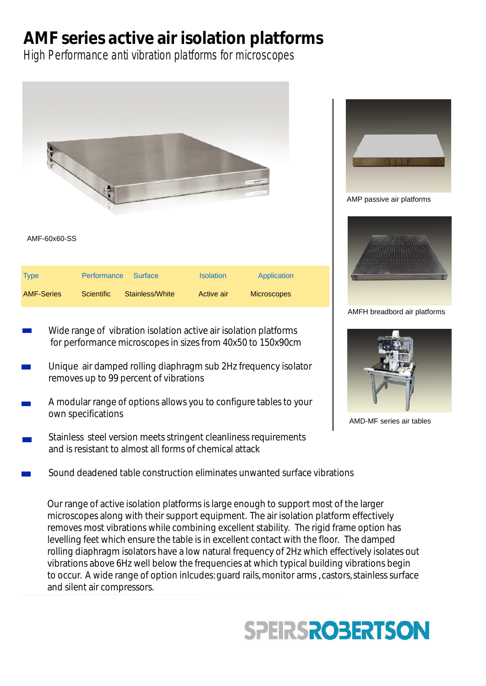# **AMF series active air isolation platforms**

High Performance anti vibration platforms for microscopes



- Wide range of vibration isolation active air isolation platforms for performance microscopes in sizes from 40x50 to 150x90cm
- Unique air damped rolling diaphragm sub 2Hz frequency isolator removes up to 99 percent of vibrations
- A modular range of options allows you to configure tables to your own specifications
- Stainless steel version meets stringent cleanliness requirements and is resistant to almost all forms of chemical attack
	- Sound deadened table construction eliminates unwanted surface vibrations

Our range of active isolation platforms is large enough to support most of the larger microscopes along with their support equipment. The air isolation platform effectively removes most vibrations while combining excellent stability. The rigid frame option has levelling feet which ensure the table is in excellent contact with the floor. The damped rolling diaphragm isolators have a low natural frequency of 2Hz which effectively isolates out vibrations above 6Hz well below the frequencies at which typical building vibrations begin to occur. A wide range of option inlcudes: quard rails, monitor arms, castors, stainless surface and silent air compressors.





### AMP passive air platforms



#### AMFH breadbord air platforms



AMD-MF series air tables